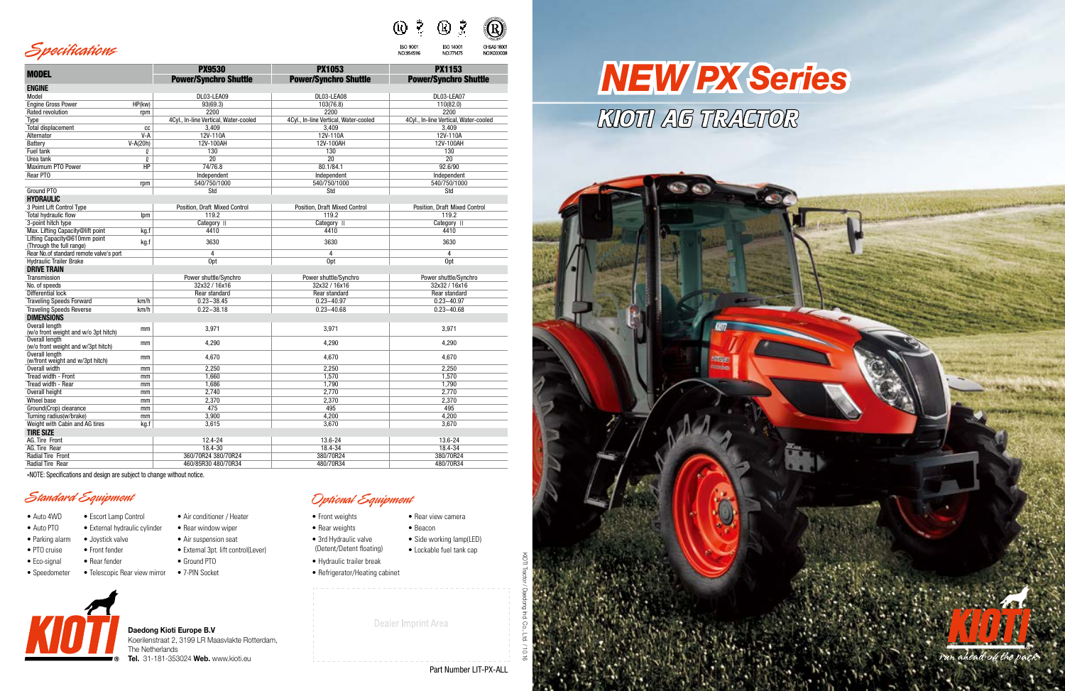#### Q)  $\left(\mathrm{R}\right)$

**ISO 14001** 

NO:771475

OHSAS 18001

NO:K033008

**ISO 9001** 

NO:954596







|                                                          |            | <b>PX9530</b>                         | <b>PX1053</b>                         | <b>PX1153</b>                         |
|----------------------------------------------------------|------------|---------------------------------------|---------------------------------------|---------------------------------------|
| <b>MODEL</b>                                             |            | <b>Power/Synchro Shuttle</b>          | <b>Power/Synchro Shuttle</b>          | <b>Power/Synchro Shuttle</b>          |
| <b>ENGINE</b>                                            |            |                                       |                                       |                                       |
| Model                                                    |            | DL03-LEA09                            | DL03-LEA08                            | DL03-LEA07                            |
| <b>Engine Gross Power</b>                                | HP(kw)     | 93(69.3)                              | 103(76.8)                             | 110(82.0)                             |
| Rated revolution                                         | rpm        | 2200                                  | 2200                                  | 2200                                  |
| Type                                                     |            | 4Cyl., In-line Vertical, Water-cooled | 4Cyl., In-line Vertical, Water-cooled | 4Cyl., In-line Vertical, Water-cooled |
| <b>Total displacement</b>                                | cc         | 3,409                                 | 3,409                                 | 3,409                                 |
| Alternator                                               | $V-A$      | 12V-110A                              | 12V-110A                              | 12V-110A                              |
| Battery                                                  | $V-A(20h)$ | 12V-100AH                             | 12V-100AH                             | 12V-100AH                             |
| Fuel tank                                                | Q          | 130                                   | 130                                   | 130                                   |
| Urea tank                                                | Q          | $\overline{20}$                       | $\overline{20}$                       | $\overline{20}$                       |
| Maximum PTO Power                                        | HP         | 74/76.8                               | 80.1/84.1                             | 92.6/90                               |
| Rear PTO                                                 |            |                                       |                                       |                                       |
|                                                          |            | Independent                           | Independent                           | Independent                           |
|                                                          | rpm        | 540/750/1000                          | 540/750/1000                          | 540/750/1000                          |
| Ground PTO                                               |            | Std                                   | Std                                   | Std                                   |
| <b>HYDRAULIC</b>                                         |            |                                       |                                       |                                       |
| 3 Point Lift Control Type                                |            | Position, Draft Mixed Control         | Position, Draft Mixed Control         | Position, Draft Mixed Control         |
| <b>Total hydraulic flow</b>                              | Ipm        | 119.2                                 | 119.2                                 | 119.2                                 |
| 3-point hitch type                                       |            | Category II                           | Category II                           | Category II                           |
| Max. Lifting Capacity@lift point                         | kg.f       | 4410                                  | 4410                                  | 4410                                  |
| Lifting Capacity@610mm point<br>(Through the full range) | kg.f       | 3630                                  | 3630                                  | 3630                                  |
| Rear No.of standard remote valve's port                  |            | $\overline{4}$                        | $\overline{4}$                        | 4                                     |
| <b>Hydraulic Trailer Brake</b>                           |            | 0pt                                   | Opt                                   | <b>Opt</b>                            |
| <b>DRIVE TRAIN</b>                                       |            |                                       |                                       |                                       |
| Transmission                                             |            | Power shuttle/Synchro                 | Power shuttle/Synchro                 | Power shuttle/Synchro                 |
| No. of speeds                                            |            | 32x32 / 16x16                         | 32x32 / 16x16                         | 32x32 / 16x16                         |
| Differential lock                                        |            | Rear standard                         | Rear standard                         | Rear standard                         |
| <b>Traveling Speeds Forward</b>                          | km/h       | $0.23 - 38.45$                        | $0.23 - 40.97$                        | $0.23 - 40.97$                        |
| <b>Traveling Speeds Reverse</b>                          | km/h       | $0.22 - 38.18$                        | $0.23 - 40.68$                        | $0.23 - 40.68$                        |
| <b>DIMENSIONS</b>                                        |            |                                       |                                       |                                       |
| Overall length<br>(w/o front weight and w/o 3pt hitch)   | mm         | 3,971                                 | 3,971                                 | 3,971                                 |
| Overall length                                           |            |                                       |                                       |                                       |
| (w/o front weight and w/3pt hitch)                       | mm         | 4,290                                 | 4,290                                 | 4,290                                 |
| Overall length<br>(w/front weight and w/3pt hitch)       | mm         | 4,670                                 | 4,670                                 | 4,670                                 |
| Overall width                                            | mm         | 2,250                                 | 2,250                                 | 2,250                                 |
| Tread width - Front                                      | mm         | 1.660                                 | 1,570                                 | 1.570                                 |
| Tread width - Rear                                       | mm         | 1,686                                 | 1,790                                 | 1,790                                 |
| Overall height                                           | mm         | 2,740                                 | 2,770                                 | 2,770                                 |
| Wheel base                                               | mm         | 2,370                                 | 2,370                                 | 2,370                                 |
| Ground(Crop) clearance                                   | mm         | 475                                   | 495                                   | 495                                   |
| Turning radius(w/brake)                                  | mm         | 3,900                                 | 4,200                                 | 4,200                                 |
| Weight with Cabin and AG tires                           | kg.f       | 3.615                                 | 3,670                                 | 3,670                                 |
| <b>TIRE SIZE</b>                                         |            |                                       |                                       |                                       |
| AG. Tire Front                                           |            | 12.4-24                               | 13.6-24                               | 13.6-24                               |
| AG. Tire Rear                                            |            | $18.4 - 30$                           | 18.4-34                               | 18.4-34                               |
| Radial Tire Front                                        |            | 360/70R24 380/70R24                   | 380/70R24                             | 380/70R24                             |
| <b>Radial Tire Rear</b>                                  |            | 460/85R30 480/70R34                   | 480/70R34                             | 480/70R34                             |
|                                                          |            |                                       |                                       |                                       |

# *NEW PX Series*KIOTI AG TRACTOR

\*NOTE: Specifications and design are subject to change without notice.

- 
- Auto PTO External hydraulic cylinder Rear window wiper
- Parking alarm Joystick valve Air suspension seat
- 
- PTO cruise Front fender External 3pt. lift control(Lever)
	-
- Eco-signal Rear fender Ground PTO
- Speedometer Telescopic Rear view mirror 7-PIN Socket

• Air conditioner / Heater



# Standard Equipment Optional Equipment

- 
- Rear weights Beacon
- 3rd Hydraulic valve (Detent/Detent floating)
- Hydraulic trailer break
- Refrigerator/Heating cabinet
	- - Dealer Imprint Area

### • Rear view camera

Part Number LIT-PX-ALL

**Daedong Kioti Europe B.V** Koerilenstraat 2, 3199 LR Maasvlakte Rotterdam, The Netherlands **Tel.** 31-181-353024 **Web.** www.kioti.eu

- Side working lamp(LED)
- Lockable fuel tank cap
	-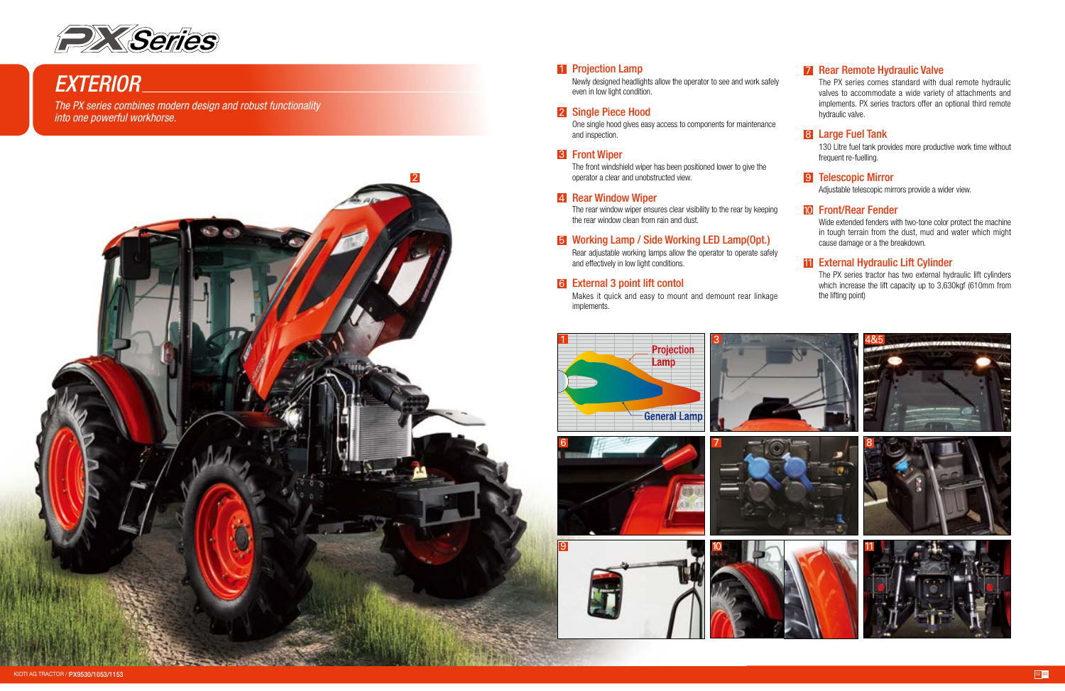Newly designed headlights allow the operator to see and work safely even in low light condition.

#### 2 Single Piece Hood

One single hood gives easy access to components for maintenance and inspection.

#### **3** Front Wiper

The front windshield wiper has been positioned lower to give the



## *EXTERIOR*

*The PX series combines modern design and robust functionality into one powerful workhorse.*



#### 1 Projection Lamp

The rear window wiper ensures clear visibility to the rear by keeping

### **5** Working Lamp / Side Working LED Lamp(Opt.)

130 Litre fuel tank provides more productive work time without frequent re-fuelling.

#### 9 Telescopic Mirror

Adjustable telescopic mirrors provide a wider view.



#### Front/Rear Fender 10

Wide extended fenders with two-tone color protect the machine in tough terrain from the dust, mud and water which might cause damage or a the breakdown.

#### 11 External Hydraulic Lift Cylinder

The PX series tractor has two external hydraulic lift cylinders which increase the lift capacity up to 3,630kgf (610mm from the lifting point)

10

#### **7** Rear Remote Hydraulic Valve

The PX series comes standard with dual remote hydraulic valves to accommodate a wide variety of attachments and implements. PX series tractors offer an optional third remote hydraulic valve.

#### 8 Large Fuel Tank

Makes it quick and easy to mount and demount rear linkage

Rear adjustable working lamps allow the operator to operate safely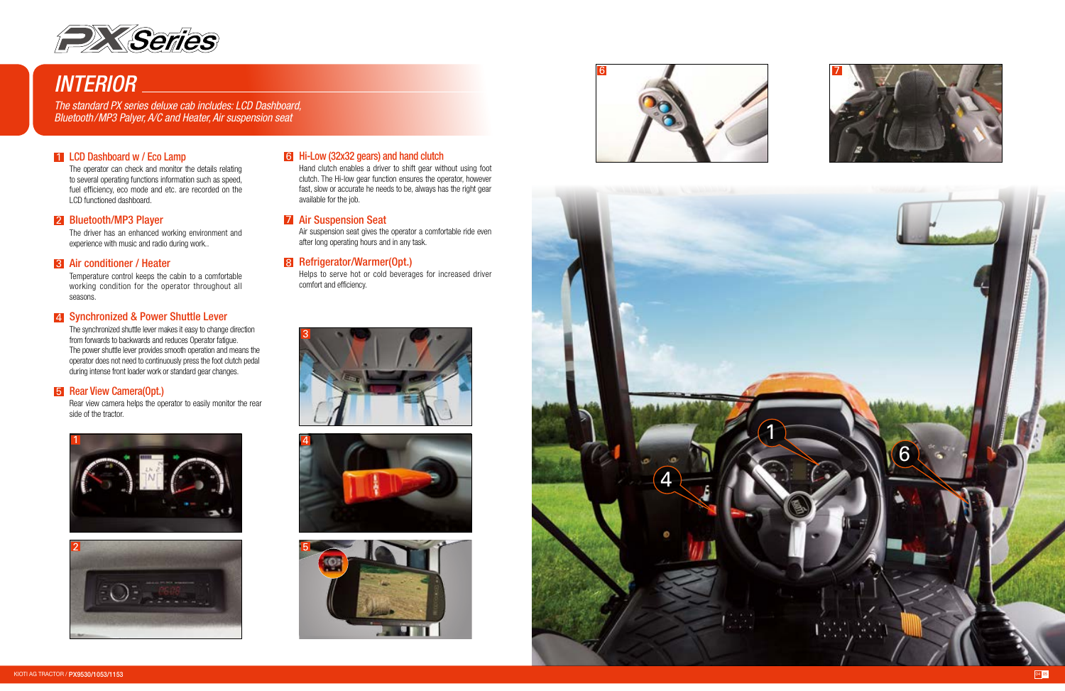Air suspension seat gives the operator a comfortable ride even after long operating hours and in any task.

#### 8 Refrigerator/Warmer(Opt.)

Helps to serve hot or cold beverages for increased driver comfort and efficiency.

Rear view camera helps the operator to easily monitor the rear side of the tractor.

#### Hi-Low (32x32 gears) and hand clutch 6

Hand clutch enables a driver to shift gear without using foot clutch. The Hi-low gear function ensures the operator, however fast, slow or accurate he needs to be, always has the right gear available for the job.

#### **7 Air Suspension Seat**

The driver has an enhanced working environment and experience with music and radio during work..

#### **3** Air conditioner / Heater

Temperature control keeps the cabin to a comfortable working condition for the operator throughout all seasons.

#### 4 Synchronized & Power Shuttle Lever

The operator can check and monitor the details relating to several operating functions information such as speed, fuel efficiency, eco mode and etc. are recorded on the LCD functioned dashboard.

#### 2 Bluetooth/MP3 Player

The synchronized shuttle lever makes it easy to change direction from forwards to backwards and reduces Operator fatigue. The power shuttle lever provides smooth operation and means the operator does not need to continuously press the foot clutch pedal during intense front loader work or standard gear changes.

#### **5** Rear View Camera(Opt.)

















## *INTERIOR*

*The standard PX series deluxe cab includes: LCD Dashboard, Bluetooth/MP3 Palyer, A/C and Heater, Air suspension seat*

#### 1 LCD Dashboard w / Eco Lamp